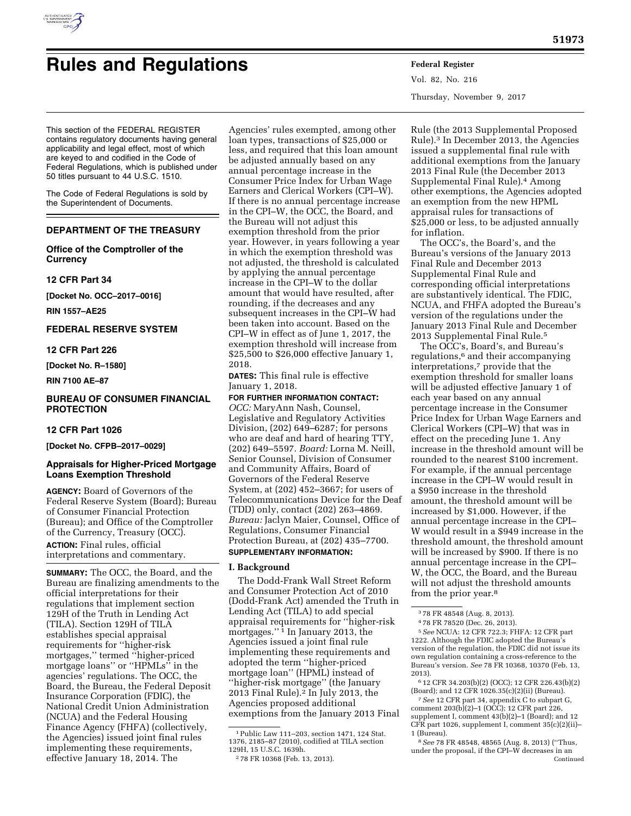

# **Rules and Regulations Federal Register**

Vol. 82, No. 216 Thursday, November 9, 2017

This section of the FEDERAL REGISTER contains regulatory documents having general applicability and legal effect, most of which are keyed to and codified in the Code of Federal Regulations, which is published under 50 titles pursuant to 44 U.S.C. 1510.

The Code of Federal Regulations is sold by the Superintendent of Documents.

# **DEPARTMENT OF THE TREASURY**

**Office of the Comptroller of the Currency** 

#### **12 CFR Part 34**

**[Docket No. OCC–2017–0016]** 

**RIN 1557–AE25** 

# **FEDERAL RESERVE SYSTEM**

#### **12 CFR Part 226**

**[Docket No. R–1580]** 

**RIN 7100 AE–87** 

#### **BUREAU OF CONSUMER FINANCIAL PROTECTION**

# **12 CFR Part 1026**

**[Docket No. CFPB–2017–0029]** 

# **Appraisals for Higher-Priced Mortgage Loans Exemption Threshold**

**AGENCY:** Board of Governors of the Federal Reserve System (Board); Bureau of Consumer Financial Protection (Bureau); and Office of the Comptroller of the Currency, Treasury (OCC). **ACTION:** Final rules, official interpretations and commentary.

**SUMMARY:** The OCC, the Board, and the Bureau are finalizing amendments to the official interpretations for their regulations that implement section 129H of the Truth in Lending Act (TILA). Section 129H of TILA establishes special appraisal requirements for ''higher-risk mortgages,'' termed ''higher-priced mortgage loans'' or ''HPMLs'' in the agencies' regulations. The OCC, the Board, the Bureau, the Federal Deposit Insurance Corporation (FDIC), the National Credit Union Administration (NCUA) and the Federal Housing Finance Agency (FHFA) (collectively, the Agencies) issued joint final rules implementing these requirements, effective January 18, 2014. The

Agencies' rules exempted, among other loan types, transactions of \$25,000 or less, and required that this loan amount be adjusted annually based on any annual percentage increase in the Consumer Price Index for Urban Wage Earners and Clerical Workers (CPI–W). If there is no annual percentage increase in the CPI–W, the OCC, the Board, and the Bureau will not adjust this exemption threshold from the prior year. However, in years following a year in which the exemption threshold was not adjusted, the threshold is calculated by applying the annual percentage increase in the CPI–W to the dollar amount that would have resulted, after rounding, if the decreases and any subsequent increases in the CPI–W had been taken into account. Based on the CPI–W in effect as of June 1, 2017, the exemption threshold will increase from \$25,500 to \$26,000 effective January 1, 2018.

**DATES:** This final rule is effective January 1, 2018.

**FOR FURTHER INFORMATION CONTACT:**  *OCC:* MaryAnn Nash, Counsel, Legislative and Regulatory Activities Division, (202) 649–6287; for persons who are deaf and hard of hearing TTY, (202) 649–5597. *Board:* Lorna M. Neill, Senior Counsel, Division of Consumer and Community Affairs, Board of Governors of the Federal Reserve System, at (202) 452–3667; for users of Telecommunications Device for the Deaf (TDD) only, contact (202) 263–4869. *Bureau:* Jaclyn Maier, Counsel, Office of Regulations, Consumer Financial Protection Bureau, at (202) 435–7700. **SUPPLEMENTARY INFORMATION:** 

# **I. Background**

The Dodd-Frank Wall Street Reform and Consumer Protection Act of 2010 (Dodd-Frank Act) amended the Truth in Lending Act (TILA) to add special appraisal requirements for ''higher-risk mortgages.'' 1 In January 2013, the Agencies issued a joint final rule implementing these requirements and adopted the term ''higher-priced mortgage loan'' (HPML) instead of ''higher-risk mortgage'' (the January 2013 Final Rule).2 In July 2013, the Agencies proposed additional exemptions from the January 2013 Final

Rule (the 2013 Supplemental Proposed Rule).3 In December 2013, the Agencies issued a supplemental final rule with additional exemptions from the January 2013 Final Rule (the December 2013 Supplemental Final Rule).4 Among other exemptions, the Agencies adopted an exemption from the new HPML appraisal rules for transactions of \$25,000 or less, to be adjusted annually for inflation.

The OCC's, the Board's, and the Bureau's versions of the January 2013 Final Rule and December 2013 Supplemental Final Rule and corresponding official interpretations are substantively identical. The FDIC, NCUA, and FHFA adopted the Bureau's version of the regulations under the January 2013 Final Rule and December 2013 Supplemental Final Rule.5

The OCC's, Board's, and Bureau's regulations,<sup>6</sup> and their accompanying interpretations,7 provide that the exemption threshold for smaller loans will be adjusted effective January 1 of each year based on any annual percentage increase in the Consumer Price Index for Urban Wage Earners and Clerical Workers (CPI–W) that was in effect on the preceding June 1. Any increase in the threshold amount will be rounded to the nearest \$100 increment. For example, if the annual percentage increase in the CPI–W would result in a \$950 increase in the threshold amount, the threshold amount will be increased by \$1,000. However, if the annual percentage increase in the CPI– W would result in a \$949 increase in the threshold amount, the threshold amount will be increased by \$900. If there is no annual percentage increase in the CPI– W, the OCC, the Board, and the Bureau will not adjust the threshold amounts from the prior year.8

7*See* 12 CFR part 34, appendix C to subpart G, comment 203(b)(2)–1 (OCC); 12 CFR part 226, supplement I, comment 43(b)(2)–1 (Board); and 12 CFR part 1026, supplement I, comment 35(c)(2)(ii)– 1 (Bureau).

<sup>1</sup>Public Law 111–203, section 1471, 124 Stat. 1376, 2185–87 (2010), codified at TILA section

<sup>&</sup>lt;sup>2</sup>78 FR 10368 (Feb. 13, 2013).

<sup>3</sup> 78 FR 48548 (Aug. 8, 2013).

<sup>4</sup> 78 FR 78520 (Dec. 26, 2013).

<sup>5</sup>*See* NCUA: 12 CFR 722.3; FHFA: 12 CFR part 1222. Although the FDIC adopted the Bureau's version of the regulation, the FDIC did not issue its own regulation containing a cross-reference to the Bureau's version. *See* 78 FR 10368, 10370 (Feb. 13, 2013).

<sup>6</sup> 12 CFR 34.203(b)(2) (OCC); 12 CFR 226.43(b)(2) (Board); and 12 CFR 1026.35(c)(2)(ii) (Bureau).

<sup>8</sup>*See* 78 FR 48548, 48565 (Aug. 8, 2013) (''Thus, under the proposal, if the CPI–W decreases in an Continued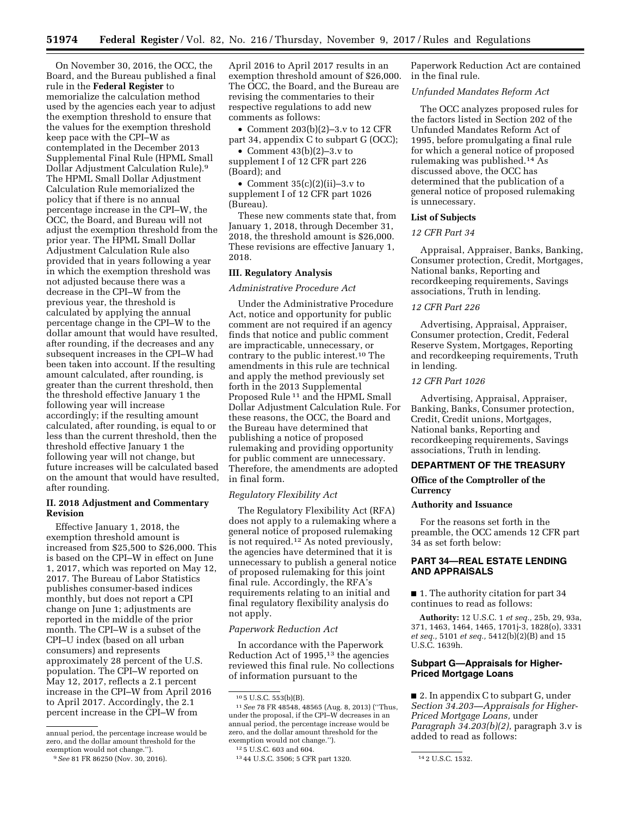On November 30, 2016, the OCC, the Board, and the Bureau published a final rule in the **Federal Register** to memorialize the calculation method used by the agencies each year to adjust the exemption threshold to ensure that the values for the exemption threshold keep pace with the CPI–W as contemplated in the December 2013 Supplemental Final Rule (HPML Small Dollar Adjustment Calculation Rule).9 The HPML Small Dollar Adjustment Calculation Rule memorialized the policy that if there is no annual percentage increase in the CPI–W, the OCC, the Board, and Bureau will not adjust the exemption threshold from the prior year. The HPML Small Dollar Adjustment Calculation Rule also provided that in years following a year in which the exemption threshold was not adjusted because there was a decrease in the CPI–W from the previous year, the threshold is calculated by applying the annual percentage change in the CPI–W to the dollar amount that would have resulted, after rounding, if the decreases and any subsequent increases in the CPI–W had been taken into account. If the resulting amount calculated, after rounding, is greater than the current threshold, then the threshold effective January 1 the following year will increase accordingly; if the resulting amount calculated, after rounding, is equal to or less than the current threshold, then the threshold effective January 1 the following year will not change, but future increases will be calculated based on the amount that would have resulted, after rounding.

# **II. 2018 Adjustment and Commentary Revision**

Effective January 1, 2018, the exemption threshold amount is increased from \$25,500 to \$26,000. This is based on the CPI–W in effect on June 1, 2017, which was reported on May 12, 2017. The Bureau of Labor Statistics publishes consumer-based indices monthly, but does not report a CPI change on June 1; adjustments are reported in the middle of the prior month. The CPI–W is a subset of the CPI–U index (based on all urban consumers) and represents approximately 28 percent of the U.S. population. The CPI–W reported on May 12, 2017, reflects a 2.1 percent increase in the CPI–W from April 2016 to April 2017. Accordingly, the 2.1 percent increase in the CPI–W from

April 2016 to April 2017 results in an exemption threshold amount of \$26,000. The OCC, the Board, and the Bureau are revising the commentaries to their respective regulations to add new comments as follows:

• Comment  $203(b)(2)-3.v$  to 12 CFR part 34, appendix C to subpart G (OCC);

• Comment 43(b)(2)–3.v to supplement I of 12 CFR part 226 (Board); and

• Comment  $35(c)(2)(ii)-3.v$  to supplement I of 12 CFR part 1026 (Bureau).

These new comments state that, from January 1, 2018, through December 31, 2018, the threshold amount is \$26,000. These revisions are effective January 1, 2018.

#### **III. Regulatory Analysis**

*Administrative Procedure Act* 

Under the Administrative Procedure Act, notice and opportunity for public comment are not required if an agency finds that notice and public comment are impracticable, unnecessary, or contrary to the public interest.10 The amendments in this rule are technical and apply the method previously set forth in the 2013 Supplemental Proposed Rule 11 and the HPML Small Dollar Adjustment Calculation Rule. For these reasons, the OCC, the Board and the Bureau have determined that publishing a notice of proposed rulemaking and providing opportunity for public comment are unnecessary. Therefore, the amendments are adopted in final form.

#### *Regulatory Flexibility Act*

The Regulatory Flexibility Act (RFA) does not apply to a rulemaking where a general notice of proposed rulemaking is not required.12 As noted previously, the agencies have determined that it is unnecessary to publish a general notice of proposed rulemaking for this joint final rule. Accordingly, the RFA's requirements relating to an initial and final regulatory flexibility analysis do not apply.

#### *Paperwork Reduction Act*

In accordance with the Paperwork Reduction Act of 1995,13 the agencies reviewed this final rule. No collections of information pursuant to the

Paperwork Reduction Act are contained in the final rule.

#### *Unfunded Mandates Reform Act*

The OCC analyzes proposed rules for the factors listed in Section 202 of the Unfunded Mandates Reform Act of 1995, before promulgating a final rule for which a general notice of proposed rulemaking was published.14 As discussed above, the OCC has determined that the publication of a general notice of proposed rulemaking is unnecessary.

#### **List of Subjects**

#### *12 CFR Part 34*

Appraisal, Appraiser, Banks, Banking, Consumer protection, Credit, Mortgages, National banks, Reporting and recordkeeping requirements, Savings associations, Truth in lending.

#### *12 CFR Part 226*

Advertising, Appraisal, Appraiser, Consumer protection, Credit, Federal Reserve System, Mortgages, Reporting and recordkeeping requirements, Truth in lending.

# *12 CFR Part 1026*

Advertising, Appraisal, Appraiser, Banking, Banks, Consumer protection, Credit, Credit unions, Mortgages, National banks, Reporting and recordkeeping requirements, Savings associations, Truth in lending.

#### **DEPARTMENT OF THE TREASURY**

#### **Office of the Comptroller of the Currency**

#### **Authority and Issuance**

For the reasons set forth in the preamble, the OCC amends 12 CFR part 34 as set forth below:

# **PART 34—REAL ESTATE LENDING AND APPRAISALS**

■ 1. The authority citation for part 34 continues to read as follows:

**Authority:** 12 U.S.C. 1 *et seq.,* 25b, 29, 93a, 371, 1463, 1464, 1465, 1701j-3, 1828(o), 3331 *et seq.,* 5101 *et seq.,* 5412(b)(2)(B) and 15 U.S.C. 1639h.

# **Subpart G—Appraisals for Higher-Priced Mortgage Loans**

■ 2. In appendix C to subpart G, under *Section 34.203—Appraisals for Higher-Priced Mortgage Loans,* under *Paragraph 34.203(b)(2),* paragraph 3.v is added to read as follows:

annual period, the percentage increase would be zero, and the dollar amount threshold for the exemption would not change.'').

<sup>9</sup>*See* 81 FR 86250 (Nov. 30, 2016).

<sup>10</sup> 5 U.S.C. 553(b)(B).

<sup>11</sup>*See* 78 FR 48548, 48565 (Aug. 8, 2013) (''Thus, under the proposal, if the CPI–W decreases in an annual period, the percentage increase would be zero, and the dollar amount threshold for the exemption would not change.'').

<sup>12</sup> 5 U.S.C. 603 and 604.

<sup>13 44</sup> U.S.C. 3506; 5 CFR part 1320. 14 2 U.S.C. 1532.